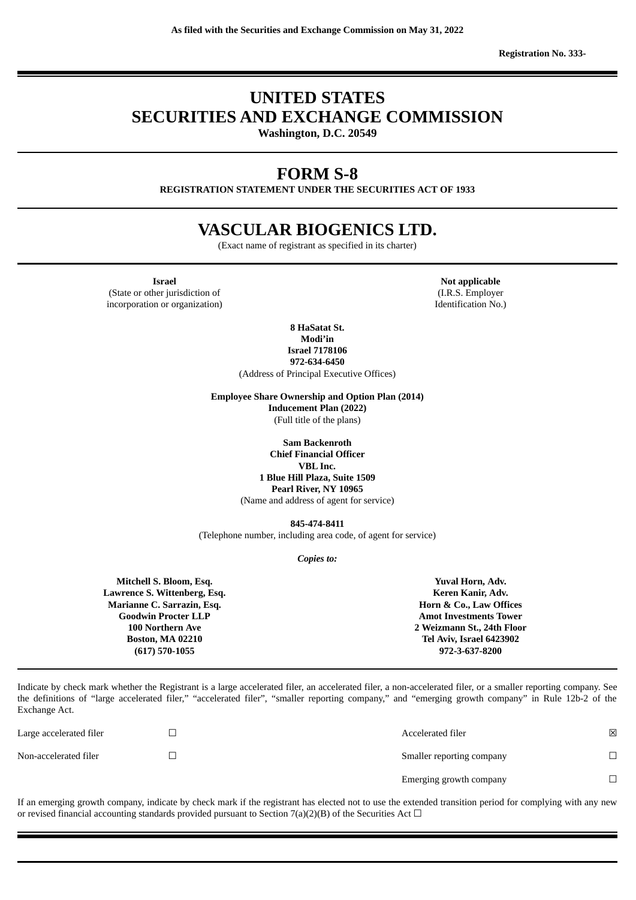**Registration No. 333-**

# **UNITED STATES SECURITIES AND EXCHANGE COMMISSION**

**Washington, D.C. 20549**

## **FORM S-8**

**REGISTRATION STATEMENT UNDER THE SECURITIES ACT OF 1933**

## **VASCULAR BIOGENICS LTD.**

(Exact name of registrant as specified in its charter)

**Israel Not applicable Not applicable** (State or other jurisdiction of incorporation or organization)

(I.R.S. Employer Identification No.)

**8 HaSatat St. Modi'in Israel 7178106 972-634-6450** (Address of Principal Executive Offices)

**Employee Share Ownership and Option Plan (2014) Inducement Plan (2022)** (Full title of the plans)

> **Sam Backenroth Chief Financial Officer VBL Inc. 1 Blue Hill Plaza, Suite 1509 Pearl River, NY 10965** (Name and address of agent for service)

**845-474-8411** (Telephone number, including area code, of agent for service)

*Copies to:*

**Mitchell S. Bloom, Esq. Lawrence S. Wittenberg, Esq. Marianne C. Sarrazin, Esq. Goodwin Procter LLP 100 Northern Ave Boston, MA 02210 (617) 570-1055 Yuval Horn, Adv. Keren Kanir, Adv. Horn & Co., Law Offices Amot Investments Tower 2 Weizmann St., 24th Floor Tel Aviv, Israel 6423902 972-3-637-8200**

Indicate by check mark whether the Registrant is a large accelerated filer, an accelerated filer, a non-accelerated filer, or a smaller reporting company. See the definitions of "large accelerated filer," "accelerated filer", "smaller reporting company," and "emerging growth company" in Rule 12b-2 of the Exchange Act.

| Large accelerated filer | Accelerated filer         | ⊠ |
|-------------------------|---------------------------|---|
| Non-accelerated filer   | Smaller reporting company |   |
|                         | Emerging growth company   |   |

If an emerging growth company, indicate by check mark if the registrant has elected not to use the extended transition period for complying with any new or revised financial accounting standards provided pursuant to Section 7(a)(2)(B) of the Securities Act  $\Box$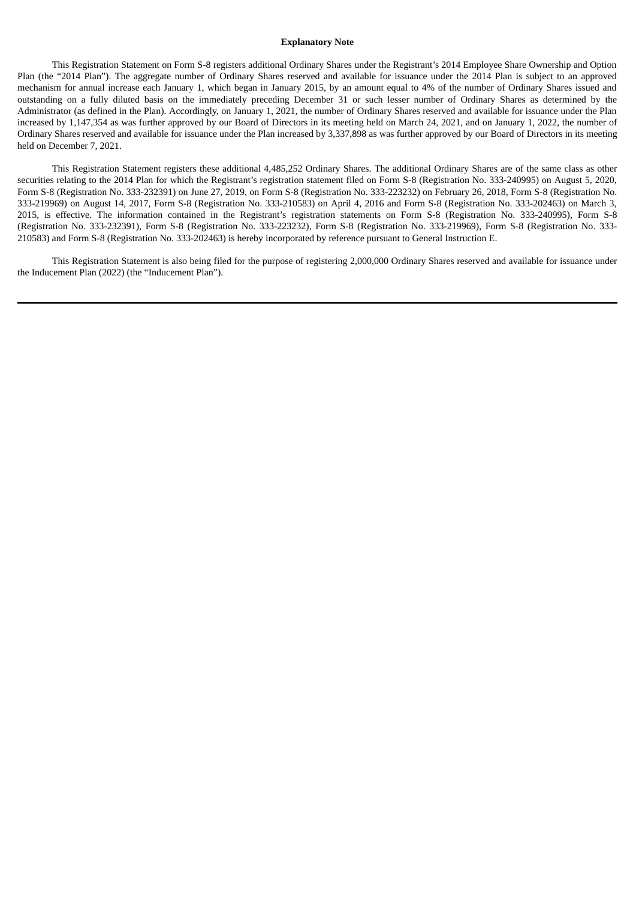#### **Explanatory Note**

This Registration Statement on Form S-8 registers additional Ordinary Shares under the Registrant's 2014 Employee Share Ownership and Option Plan (the "2014 Plan"). The aggregate number of Ordinary Shares reserved and available for issuance under the 2014 Plan is subject to an approved mechanism for annual increase each January 1, which began in January 2015, by an amount equal to 4% of the number of Ordinary Shares issued and outstanding on a fully diluted basis on the immediately preceding December 31 or such lesser number of Ordinary Shares as determined by the Administrator (as defined in the Plan). Accordingly, on January 1, 2021, the number of Ordinary Shares reserved and available for issuance under the Plan increased by 1,147,354 as was further approved by our Board of Directors in its meeting held on March 24, 2021, and on January 1, 2022, the number of Ordinary Shares reserved and available for issuance under the Plan increased by 3,337,898 as was further approved by our Board of Directors in its meeting held on December 7, 2021.

This Registration Statement registers these additional 4,485,252 Ordinary Shares. The additional Ordinary Shares are of the same class as other securities relating to the 2014 Plan for which the Registrant's registration statement filed on Form S-8 (Registration No. 333-240995) on August 5, 2020, Form S-8 (Registration No. 333-232391) on June 27, 2019, on Form S-8 (Registration No. 333-223232) on February 26, 2018, Form S-8 (Registration No. 333-219969) on August 14, 2017, Form S-8 (Registration No. 333-210583) on April 4, 2016 and Form S-8 (Registration No. 333-202463) on March 3, 2015, is effective. The information contained in the Registrant's registration statements on Form S-8 (Registration No. 333-240995), Form S-8 (Registration No. 333-232391), Form S-8 (Registration No. 333-223232), Form S-8 (Registration No. 333-219969), Form S-8 (Registration No. 333- 210583) and Form S-8 (Registration No. 333-202463) is hereby incorporated by reference pursuant to General Instruction E.

This Registration Statement is also being filed for the purpose of registering 2,000,000 Ordinary Shares reserved and available for issuance under the Inducement Plan (2022) (the "Inducement Plan").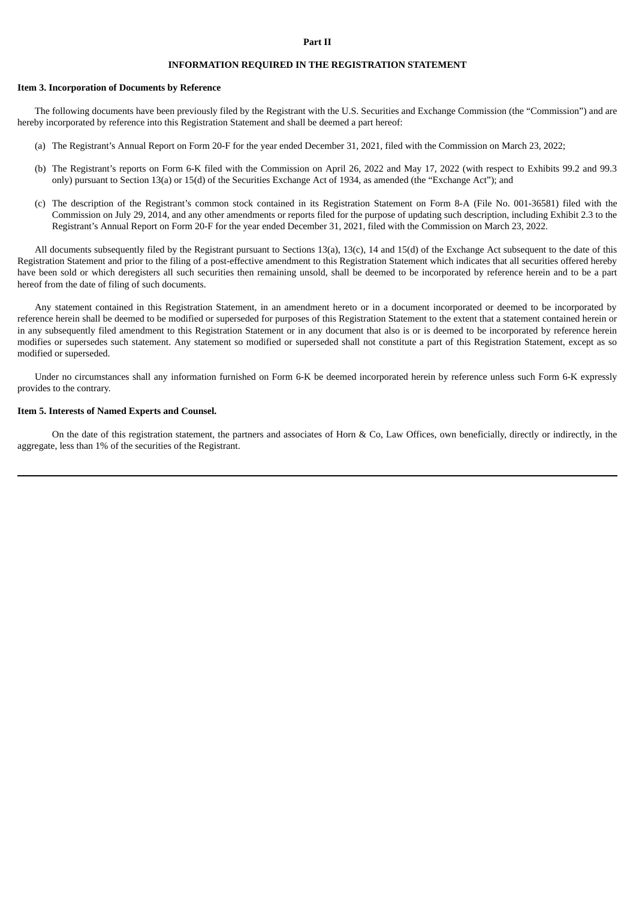#### **Part II**

### **INFORMATION REQUIRED IN THE REGISTRATION STATEMENT**

#### **Item 3. Incorporation of Documents by Reference**

The following documents have been previously filed by the Registrant with the U.S. Securities and Exchange Commission (the "Commission") and are hereby incorporated by reference into this Registration Statement and shall be deemed a part hereof:

- (a) The Registrant's Annual Report on Form 20-F for the year ended December 31, 2021, filed with the Commission on March 23, 2022;
- (b) The Registrant's reports on Form 6-K filed with the Commission on April 26, 2022 and May 17, 2022 (with respect to Exhibits 99.2 and 99.3 only) pursuant to Section 13(a) or 15(d) of the Securities Exchange Act of 1934, as amended (the "Exchange Act"); and
- (c) The description of the Registrant's common stock contained in its Registration Statement on Form 8-A (File No. 001-36581) filed with the Commission on July 29, 2014, and any other amendments or reports filed for the purpose of updating such description, including Exhibit 2.3 to the Registrant's Annual Report on Form 20-F for the year ended December 31, 2021, filed with the Commission on March 23, 2022.

All documents subsequently filed by the Registrant pursuant to Sections 13(a), 13(c), 14 and 15(d) of the Exchange Act subsequent to the date of this Registration Statement and prior to the filing of a post-effective amendment to this Registration Statement which indicates that all securities offered hereby have been sold or which deregisters all such securities then remaining unsold, shall be deemed to be incorporated by reference herein and to be a part hereof from the date of filing of such documents.

Any statement contained in this Registration Statement, in an amendment hereto or in a document incorporated or deemed to be incorporated by reference herein shall be deemed to be modified or superseded for purposes of this Registration Statement to the extent that a statement contained herein or in any subsequently filed amendment to this Registration Statement or in any document that also is or is deemed to be incorporated by reference herein modifies or supersedes such statement. Any statement so modified or superseded shall not constitute a part of this Registration Statement, except as so modified or superseded.

Under no circumstances shall any information furnished on Form 6-K be deemed incorporated herein by reference unless such Form 6-K expressly provides to the contrary.

#### **Item 5. Interests of Named Experts and Counsel.**

On the date of this registration statement, the partners and associates of Horn & Co, Law Offices, own beneficially, directly or indirectly, in the aggregate, less than 1% of the securities of the Registrant.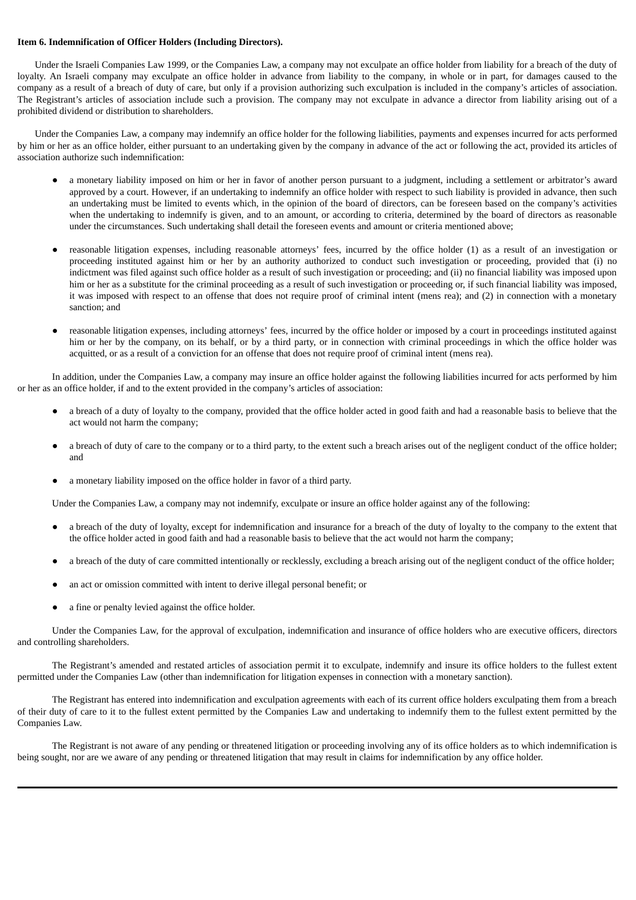#### **Item 6. Indemnification of Officer Holders (Including Directors).**

Under the Israeli Companies Law 1999, or the Companies Law, a company may not exculpate an office holder from liability for a breach of the duty of loyalty. An Israeli company may exculpate an office holder in advance from liability to the company, in whole or in part, for damages caused to the company as a result of a breach of duty of care, but only if a provision authorizing such exculpation is included in the company's articles of association. The Registrant's articles of association include such a provision. The company may not exculpate in advance a director from liability arising out of a prohibited dividend or distribution to shareholders.

Under the Companies Law, a company may indemnify an office holder for the following liabilities, payments and expenses incurred for acts performed by him or her as an office holder, either pursuant to an undertaking given by the company in advance of the act or following the act, provided its articles of association authorize such indemnification:

- a monetary liability imposed on him or her in favor of another person pursuant to a judgment, including a settlement or arbitrator's award approved by a court. However, if an undertaking to indemnify an office holder with respect to such liability is provided in advance, then such an undertaking must be limited to events which, in the opinion of the board of directors, can be foreseen based on the company's activities when the undertaking to indemnify is given, and to an amount, or according to criteria, determined by the board of directors as reasonable under the circumstances. Such undertaking shall detail the foreseen events and amount or criteria mentioned above;
- reasonable litigation expenses, including reasonable attorneys' fees, incurred by the office holder (1) as a result of an investigation or proceeding instituted against him or her by an authority authorized to conduct such investigation or proceeding, provided that (i) no indictment was filed against such office holder as a result of such investigation or proceeding; and (ii) no financial liability was imposed upon him or her as a substitute for the criminal proceeding as a result of such investigation or proceeding or, if such financial liability was imposed, it was imposed with respect to an offense that does not require proof of criminal intent (mens rea); and (2) in connection with a monetary sanction; and
- reasonable litigation expenses, including attorneys' fees, incurred by the office holder or imposed by a court in proceedings instituted against him or her by the company, on its behalf, or by a third party, or in connection with criminal proceedings in which the office holder was acquitted, or as a result of a conviction for an offense that does not require proof of criminal intent (mens rea).

In addition, under the Companies Law, a company may insure an office holder against the following liabilities incurred for acts performed by him or her as an office holder, if and to the extent provided in the company's articles of association:

- a breach of a duty of loyalty to the company, provided that the office holder acted in good faith and had a reasonable basis to believe that the act would not harm the company;
- a breach of duty of care to the company or to a third party, to the extent such a breach arises out of the negligent conduct of the office holder; and
- a monetary liability imposed on the office holder in favor of a third party.

Under the Companies Law, a company may not indemnify, exculpate or insure an office holder against any of the following:

- a breach of the duty of loyalty, except for indemnification and insurance for a breach of the duty of loyalty to the company to the extent that the office holder acted in good faith and had a reasonable basis to believe that the act would not harm the company;
- a breach of the duty of care committed intentionally or recklessly, excluding a breach arising out of the negligent conduct of the office holder;
- an act or omission committed with intent to derive illegal personal benefit; or
- a fine or penalty levied against the office holder.

Under the Companies Law, for the approval of exculpation, indemnification and insurance of office holders who are executive officers, directors and controlling shareholders.

The Registrant's amended and restated articles of association permit it to exculpate, indemnify and insure its office holders to the fullest extent permitted under the Companies Law (other than indemnification for litigation expenses in connection with a monetary sanction).

The Registrant has entered into indemnification and exculpation agreements with each of its current office holders exculpating them from a breach of their duty of care to it to the fullest extent permitted by the Companies Law and undertaking to indemnify them to the fullest extent permitted by the Companies Law.

The Registrant is not aware of any pending or threatened litigation or proceeding involving any of its office holders as to which indemnification is being sought, nor are we aware of any pending or threatened litigation that may result in claims for indemnification by any office holder.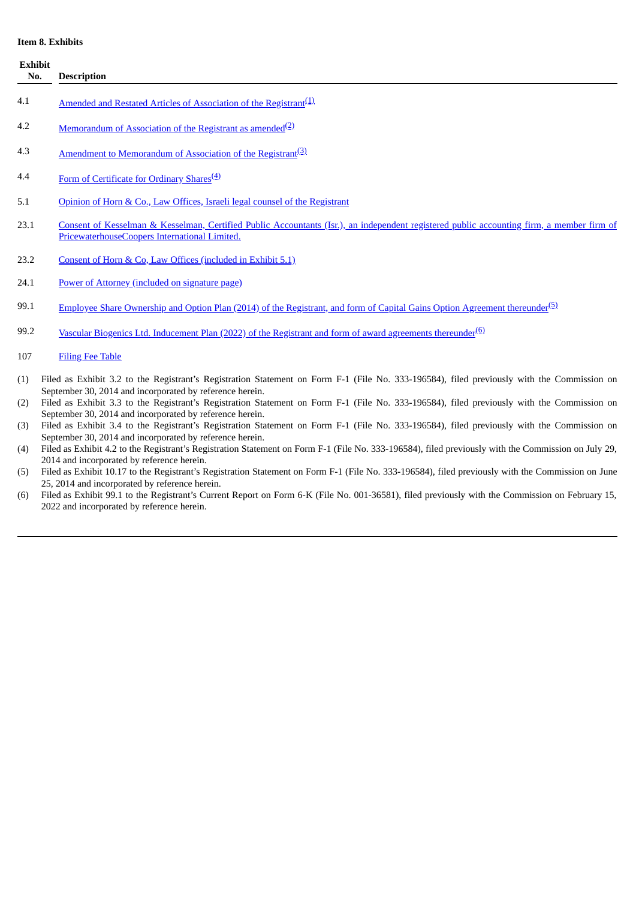## **Item 8. Exhibits**

| Item 8. Exhibits      |                                                                                                                                                                                                        |  |  |  |
|-----------------------|--------------------------------------------------------------------------------------------------------------------------------------------------------------------------------------------------------|--|--|--|
| <b>Exhibit</b><br>No. | <b>Description</b>                                                                                                                                                                                     |  |  |  |
| 4.1                   | Amended and Restated Articles of Association of the Registrant <sup>(1)</sup>                                                                                                                          |  |  |  |
| 4.2                   | <u>Memorandum of Association of the Registrant as amended</u> <sup>(2)</sup>                                                                                                                           |  |  |  |
| 4.3                   | Amendment to Memorandum of Association of the Registrant <sup>(3)</sup> .                                                                                                                              |  |  |  |
| 4.4                   | Form of Certificate for Ordinary Shares <sup>(4)</sup>                                                                                                                                                 |  |  |  |
| 5.1                   | Opinion of Horn & Co., Law Offices, Israeli legal counsel of the Registrant                                                                                                                            |  |  |  |
| 23.1                  | Consent of Kesselman & Kesselman, Certified Public Accountants (Isr.), an independent registered public accounting firm, a member firm of<br>PricewaterhouseCoopers International Limited.             |  |  |  |
| 23.2                  | Consent of Horn & Co, Law Offices (included in Exhibit 5.1)                                                                                                                                            |  |  |  |
| 24.1                  | Power of Attorney (included on signature page)                                                                                                                                                         |  |  |  |
| 99.1                  | <u>Employee Share Ownership and Option Plan (2014) of the Registrant, and form of Capital Gains Option Agreement thereunder<sup>(5)</sup></u>                                                          |  |  |  |
| 99.2                  | Vascular Biogenics Ltd. Inducement Plan (2022) of the Registrant and form of award agreements thereunder <sup>(6)</sup>                                                                                |  |  |  |
| 107                   | <b>Filing Fee Table</b>                                                                                                                                                                                |  |  |  |
| (1)                   | Filed as Exhibit 3.2 to the Registrant's Registration Statement on Form F-1 (File No. 333-196584), filed previously with the Commission on<br>September 30, 2014 and incorporated by reference herein. |  |  |  |
| (2)                   | Filed as Exhibit 3.3 to the Registrant's Registration Statement on Form F-1 (File No. 333-196584), filed previously with the Commission on<br>September 30, 2014 and incorporated by reference herein. |  |  |  |
| (3)                   | Filed as Exhibit 3.4 to the Registrant's Registration Statement on Form F-1 (File No. 333-196584), filed previously with the Commission on<br>September 30, 2014 and incorporated by reference herein. |  |  |  |
| (4)                   | Filed as Exhibit 4.2 to the Registrant's Registration Statement on Form F-1 (File No. 333-196584), filed previously with the Commission on July 29,<br>2014 and incorporated by reference herein.      |  |  |  |
| (5)                   | Filed as Exhibit 10.17 to the Registrant's Registration Statement on Form F-1 (File No. 333-196584), filed previously with the Commission on June<br>25, 2014 and incorporated by reference herein.    |  |  |  |

(6) Filed as Exhibit 99.1 to the Registrant's Current Report on Form 6-K (File No. 001-36581), filed previously with the Commission on February 15, 2022 and incorporated by reference herein.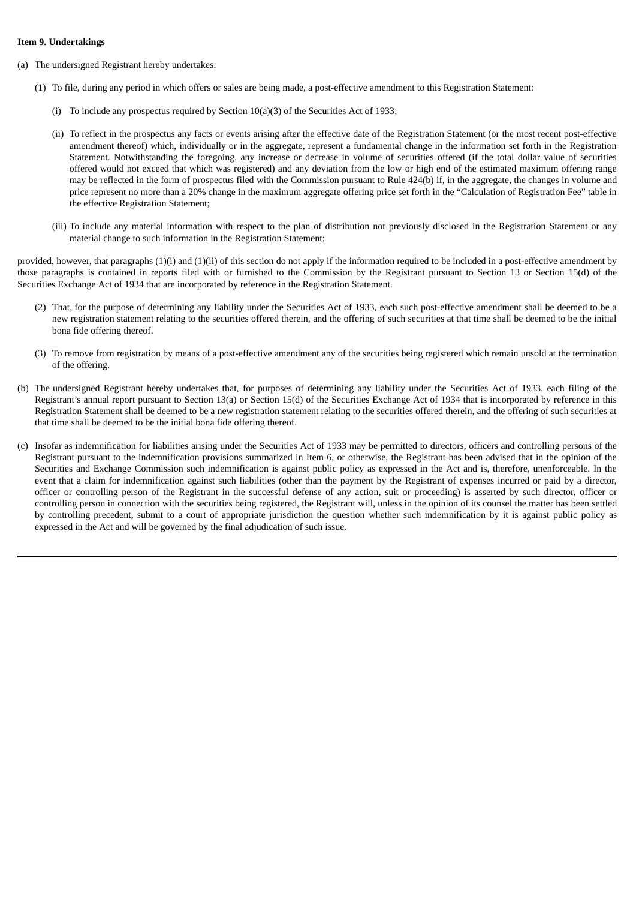#### **Item 9. Undertakings**

- (a) The undersigned Registrant hereby undertakes:
	- (1) To file, during any period in which offers or sales are being made, a post-effective amendment to this Registration Statement:
		- (i) To include any prospectus required by Section 10(a)(3) of the Securities Act of 1933;
		- (ii) To reflect in the prospectus any facts or events arising after the effective date of the Registration Statement (or the most recent post-effective amendment thereof) which, individually or in the aggregate, represent a fundamental change in the information set forth in the Registration Statement. Notwithstanding the foregoing, any increase or decrease in volume of securities offered (if the total dollar value of securities offered would not exceed that which was registered) and any deviation from the low or high end of the estimated maximum offering range may be reflected in the form of prospectus filed with the Commission pursuant to Rule 424(b) if, in the aggregate, the changes in volume and price represent no more than a 20% change in the maximum aggregate offering price set forth in the "Calculation of Registration Fee" table in the effective Registration Statement;
		- (iii) To include any material information with respect to the plan of distribution not previously disclosed in the Registration Statement or any material change to such information in the Registration Statement;

provided, however, that paragraphs (1)(i) and (1)(ii) of this section do not apply if the information required to be included in a post-effective amendment by those paragraphs is contained in reports filed with or furnished to the Commission by the Registrant pursuant to Section 13 or Section 15(d) of the Securities Exchange Act of 1934 that are incorporated by reference in the Registration Statement.

- (2) That, for the purpose of determining any liability under the Securities Act of 1933, each such post-effective amendment shall be deemed to be a new registration statement relating to the securities offered therein, and the offering of such securities at that time shall be deemed to be the initial bona fide offering thereof.
- (3) To remove from registration by means of a post-effective amendment any of the securities being registered which remain unsold at the termination of the offering.
- (b) The undersigned Registrant hereby undertakes that, for purposes of determining any liability under the Securities Act of 1933, each filing of the Registrant's annual report pursuant to Section 13(a) or Section 15(d) of the Securities Exchange Act of 1934 that is incorporated by reference in this Registration Statement shall be deemed to be a new registration statement relating to the securities offered therein, and the offering of such securities at that time shall be deemed to be the initial bona fide offering thereof.
- (c) Insofar as indemnification for liabilities arising under the Securities Act of 1933 may be permitted to directors, officers and controlling persons of the Registrant pursuant to the indemnification provisions summarized in Item 6, or otherwise, the Registrant has been advised that in the opinion of the Securities and Exchange Commission such indemnification is against public policy as expressed in the Act and is, therefore, unenforceable. In the event that a claim for indemnification against such liabilities (other than the payment by the Registrant of expenses incurred or paid by a director, officer or controlling person of the Registrant in the successful defense of any action, suit or proceeding) is asserted by such director, officer or controlling person in connection with the securities being registered, the Registrant will, unless in the opinion of its counsel the matter has been settled by controlling precedent, submit to a court of appropriate jurisdiction the question whether such indemnification by it is against public policy as expressed in the Act and will be governed by the final adjudication of such issue.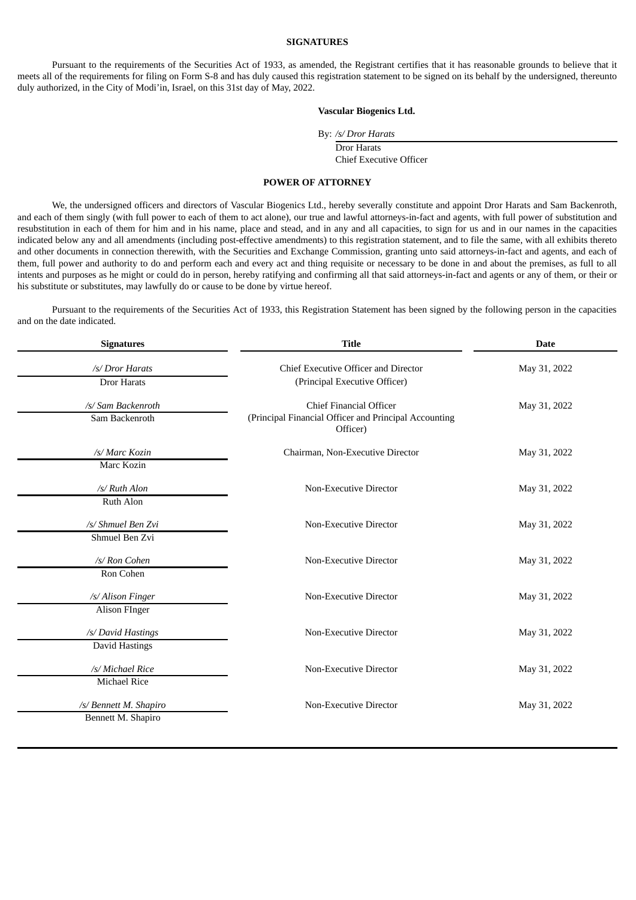#### **SIGNATURES**

Pursuant to the requirements of the Securities Act of 1933, as amended, the Registrant certifies that it has reasonable grounds to believe that it meets all of the requirements for filing on Form S-8 and has duly caused this registration statement to be signed on its behalf by the undersigned, thereunto duly authorized, in the City of Modi'in, Israel, on this 31st day of May, 2022.

#### **Vascular Biogenics Ltd.**

By: */s/ Dror Harats*

Dror Harats Chief Executive Officer

#### **POWER OF ATTORNEY**

<span id="page-6-0"></span>We, the undersigned officers and directors of Vascular Biogenics Ltd., hereby severally constitute and appoint Dror Harats and Sam Backenroth, and each of them singly (with full power to each of them to act alone), our true and lawful attorneys-in-fact and agents, with full power of substitution and resubstitution in each of them for him and in his name, place and stead, and in any and all capacities, to sign for us and in our names in the capacities indicated below any and all amendments (including post-effective amendments) to this registration statement, and to file the same, with all exhibits thereto and other documents in connection therewith, with the Securities and Exchange Commission, granting unto said attorneys-in-fact and agents, and each of them, full power and authority to do and perform each and every act and thing requisite or necessary to be done in and about the premises, as full to all intents and purposes as he might or could do in person, hereby ratifying and confirming all that said attorneys-in-fact and agents or any of them, or their or his substitute or substitutes, may lawfully do or cause to be done by virtue hereof.

Pursuant to the requirements of the Securities Act of 1933, this Registration Statement has been signed by the following person in the capacities and on the date indicated.

| <b>Signatures</b>      | <b>Title</b>                                                      | <b>Date</b>  |  |  |
|------------------------|-------------------------------------------------------------------|--------------|--|--|
| /s/ Dror Harats        | Chief Executive Officer and Director                              | May 31, 2022 |  |  |
| Dror Harats            | (Principal Executive Officer)                                     |              |  |  |
| /s/ Sam Backenroth     | <b>Chief Financial Officer</b>                                    | May 31, 2022 |  |  |
| Sam Backenroth         | (Principal Financial Officer and Principal Accounting<br>Officer) |              |  |  |
| /s/ Marc Kozin         | Chairman, Non-Executive Director                                  | May 31, 2022 |  |  |
| Marc Kozin             |                                                                   |              |  |  |
| /s/ Ruth Alon          | Non-Executive Director                                            | May 31, 2022 |  |  |
| Ruth Alon              |                                                                   |              |  |  |
| /s/ Shmuel Ben Zvi     | Non-Executive Director                                            | May 31, 2022 |  |  |
| Shmuel Ben Zvi         |                                                                   |              |  |  |
| /s/ Ron Cohen          | Non-Executive Director                                            | May 31, 2022 |  |  |
| Ron Cohen              |                                                                   |              |  |  |
| /s/ Alison Finger      | Non-Executive Director                                            | May 31, 2022 |  |  |
| <b>Alison FInger</b>   |                                                                   |              |  |  |
| /s/ David Hastings     | Non-Executive Director                                            | May 31, 2022 |  |  |
| David Hastings         |                                                                   |              |  |  |
| /s/ Michael Rice       | Non-Executive Director                                            | May 31, 2022 |  |  |
| Michael Rice           |                                                                   |              |  |  |
| /s/ Bennett M. Shapiro | Non-Executive Director                                            | May 31, 2022 |  |  |
| Bennett M. Shapiro     |                                                                   |              |  |  |
|                        |                                                                   |              |  |  |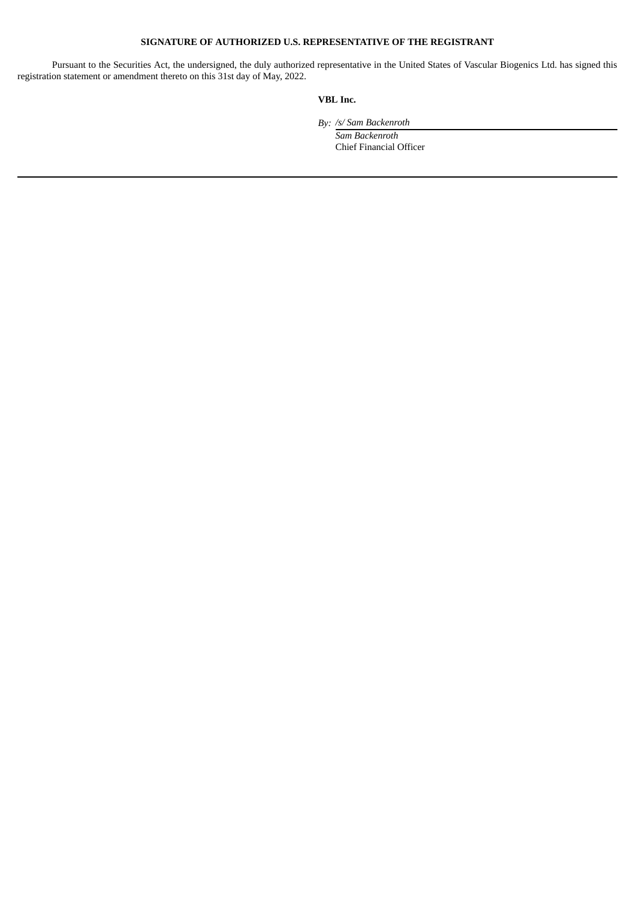### **SIGNATURE OF AUTHORIZED U.S. REPRESENTATIVE OF THE REGISTRANT**

Pursuant to the Securities Act, the undersigned, the duly authorized representative in the United States of Vascular Biogenics Ltd. has signed this registration statement or amendment thereto on this 31st day of May, 2022.

## **VBL Inc.**

*By: /s/ Sam Backenroth*

*Sam Backenroth* Chief Financial Officer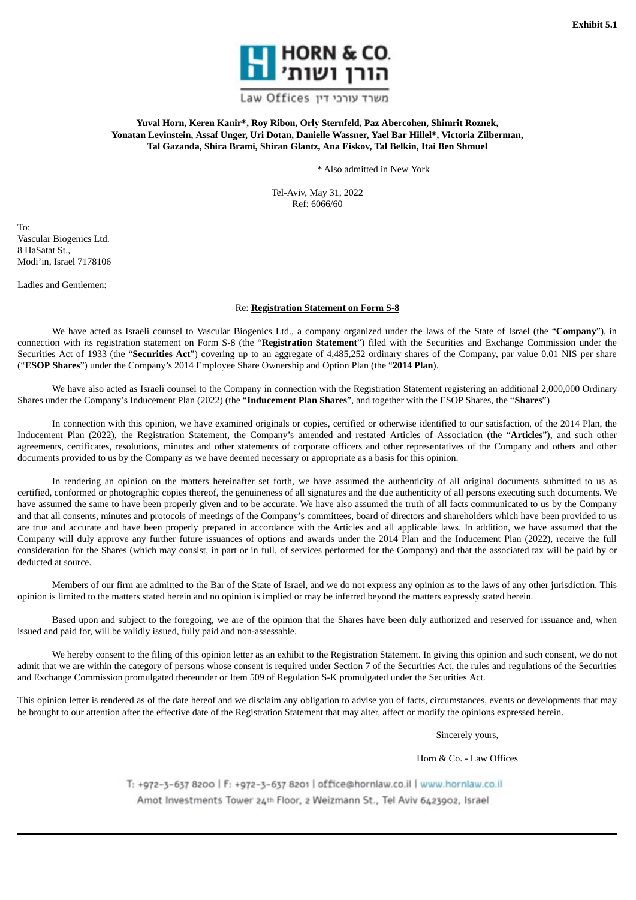

משרד עורכי דין Law Offices

<span id="page-8-0"></span>**Yuval Horn, Keren Kanir\*, Roy Ribon, Orly Sternfeld, Paz Abercohen, Shimrit Roznek, Yonatan Levinstein, Assaf Unger, Uri Dotan, Danielle Wassner, Yael Bar Hillel\*, Victoria Zilberman, Tal Gazanda, Shira Brami, Shiran Glantz, Ana Eiskov, Tal Belkin, Itai Ben Shmuel**

\* Also admitted in New York

Tel-Aviv, May 31, 2022 Ref: 6066/60

To: Vascular Biogenics Ltd. 8 HaSatat St., Modi'in, Israel 7178106

Ladies and Gentlemen:

## Re: **Registration Statement on Form S-8**

We have acted as Israeli counsel to Vascular Biogenics Ltd., a company organized under the laws of the State of Israel (the "**Company**"), in connection with its registration statement on Form S-8 (the "**Registration Statement**") filed with the Securities and Exchange Commission under the Securities Act of 1933 (the "**Securities Act**") covering up to an aggregate of 4,485,252 ordinary shares of the Company, par value 0.01 NIS per share ("**ESOP Shares**") under the Company's 2014 Employee Share Ownership and Option Plan (the "**2014 Plan**).

We have also acted as Israeli counsel to the Company in connection with the Registration Statement registering an additional 2,000,000 Ordinary Shares under the Company's Inducement Plan (2022) (the "**Inducement Plan Shares**", and together with the ESOP Shares, the "**Shares**")

In connection with this opinion, we have examined originals or copies, certified or otherwise identified to our satisfaction, of the 2014 Plan, the Inducement Plan (2022), the Registration Statement, the Company's amended and restated Articles of Association (the "**Articles**"), and such other agreements, certificates, resolutions, minutes and other statements of corporate officers and other representatives of the Company and others and other documents provided to us by the Company as we have deemed necessary or appropriate as a basis for this opinion.

In rendering an opinion on the matters hereinafter set forth, we have assumed the authenticity of all original documents submitted to us as certified, conformed or photographic copies thereof, the genuineness of all signatures and the due authenticity of all persons executing such documents. We have assumed the same to have been properly given and to be accurate. We have also assumed the truth of all facts communicated to us by the Company and that all consents, minutes and protocols of meetings of the Company's committees, board of directors and shareholders which have been provided to us are true and accurate and have been properly prepared in accordance with the Articles and all applicable laws. In addition, we have assumed that the Company will duly approve any further future issuances of options and awards under the 2014 Plan and the Inducement Plan (2022), receive the full consideration for the Shares (which may consist, in part or in full, of services performed for the Company) and that the associated tax will be paid by or deducted at source.

Members of our firm are admitted to the Bar of the State of Israel, and we do not express any opinion as to the laws of any other jurisdiction. This opinion is limited to the matters stated herein and no opinion is implied or may be inferred beyond the matters expressly stated herein.

Based upon and subject to the foregoing, we are of the opinion that the Shares have been duly authorized and reserved for issuance and, when issued and paid for, will be validly issued, fully paid and non-assessable.

We hereby consent to the filing of this opinion letter as an exhibit to the Registration Statement. In giving this opinion and such consent, we do not admit that we are within the category of persons whose consent is required under Section 7 of the Securities Act, the rules and regulations of the Securities and Exchange Commission promulgated thereunder or Item 509 of Regulation S-K promulgated under the Securities Act.

This opinion letter is rendered as of the date hereof and we disclaim any obligation to advise you of facts, circumstances, events or developments that may be brought to our attention after the effective date of the Registration Statement that may alter, affect or modify the opinions expressed herein.

Sincerely yours,

Horn & Co. - Law Offices

T: +972-3-637 8200 | F: +972-3-637 8201 | office@hornlaw.co.il | www.hornlaw.co.il Amot Investments Tower 24th Floor, 2 Weizmann St., Tel Aviv 6423902, Israel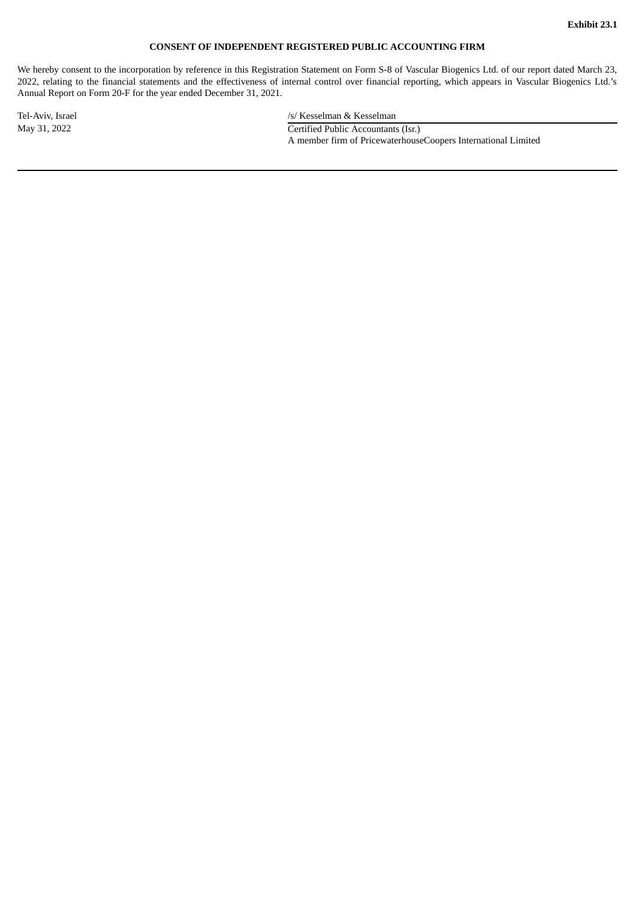## **CONSENT OF INDEPENDENT REGISTERED PUBLIC ACCOUNTING FIRM**

<span id="page-9-0"></span>We hereby consent to the incorporation by reference in this Registration Statement on Form S-8 of Vascular Biogenics Ltd. of our report dated March 23, 2022, relating to the financial statements and the effectiveness of internal control over financial reporting, which appears in Vascular Biogenics Ltd.'s Annual Report on Form 20-F for the year ended December 31, 2021.

Tel-Aviv, Israel *Tel-Aviv, Israel Islamic Company S/ Kesselman & Kesselman /s/ Kesselman Aviv, Israel Aviv*, *Israel Aviv*, *Israel Aviv*, *Israel Aviv*, *Israel Aviv*, *Israel Aviv*, *Israel Aviv*, May 31, 2022 Certified Public Accountants (Isr.) A member firm of PricewaterhouseCoopers International Limited